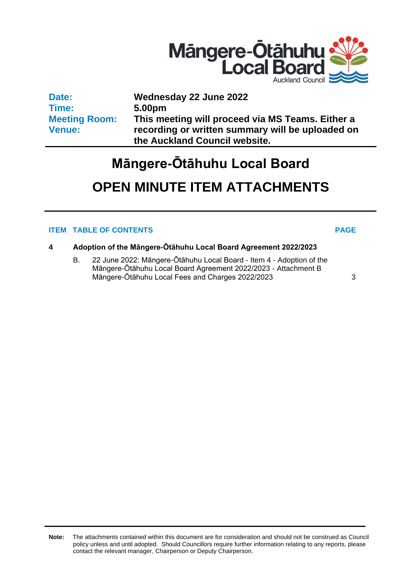

**Date: Time: Meeting Room: Venue:**

**Wednesday 22 June 2022 5.00pm This meeting will proceed via MS Teams. Either a recording or written summary will be uploaded on the Auckland Council website.**

# **Māngere-Ōtāhuhu Local Board**

## **OPEN MINUTE ITEM ATTACHMENTS**

### **ITEM TABLE OF CONTENTS PAGE**

- **4 Adoption of the Māngere-Ōtāhuhu Local Board Agreement 2022/2023**
	- B. 22 June 2022: Māngere-Ōtāhuhu Local Board Item 4 Adoption of the Māngere-Ōtāhuhu Local Board Agreement 2022/2023 - Attachment B Māngere-Ōtāhuhu Local Fees and Charges 2022/2023 [3](#page-2-0)

**Note:** The attachments contained within this document are for consideration and should not be construed as Council policy unless and until adopted. Should Councillors require further information relating to any reports, please contact the relevant manager, Chairperson or Deputy Chairperson.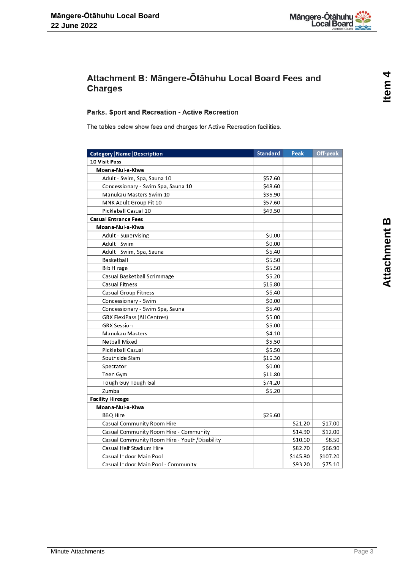

### <span id="page-2-0"></span>Attachment B: Māngere-Ōtāhuhu Local Board Fees and **Charges**

#### Parks, Sport and Recreation - Active Recreation

The tables below show fees and charges for Active Recreation facilities.

| Category   Name   Description                 | <b>Standard</b> | <b>Peak</b> | Off-peak |
|-----------------------------------------------|-----------------|-------------|----------|
| <b>10 Visit Pass</b>                          |                 |             |          |
| Moana-Nui-a-Kiwa                              |                 |             |          |
| Adult - Swim, Spa, Sauna 10                   | \$57.60         |             |          |
| Concessionary - Swim Spa, Sauna 10            | \$48.60         |             |          |
| Manukau Masters Swim 10                       | \$36.90         |             |          |
| MNK Adult Group Fit 10                        | \$57.60         |             |          |
| Pickleball Casual 10                          | \$49.50         |             |          |
| <b>Casual Entrance Fees</b>                   |                 |             |          |
| Moana-Nui-a-Kiwa                              |                 |             |          |
| Adult - Supervising                           | \$0.00          |             |          |
| Adult - Swim                                  | \$0.00          |             |          |
| Adult - Swim, Spa, Sauna                      | \$6.40          |             |          |
| Basketball                                    | \$5.50          |             |          |
| <b>Bib Hirage</b>                             | \$5.50          |             |          |
| Casual Basketball Scrimmage                   | \$5.20          |             |          |
| <b>Casual Fitness</b>                         | \$16.80         |             |          |
| Casual Group Fitness                          | \$6.40          |             |          |
| Concessionary - Swim                          | \$0.00          |             |          |
| Concessionary - Swim Spa, Sauna               | \$5.40          |             |          |
| GRX FlexiPass (All Centres)                   | \$5.00          |             |          |
| <b>GRX Session</b>                            | \$5.00          |             |          |
| Manukau Masters                               | \$4.10          |             |          |
| <b>Netball Mixed</b>                          | \$5.50          |             |          |
| <b>Pickleball Casual</b>                      | \$5.50          |             |          |
| Southside Slam                                | \$16.30         |             |          |
| Spectator                                     | \$0.00          |             |          |
| Teen Gym                                      | \$11.80         |             |          |
| Tough Guy Tough Gal                           | \$74.20         |             |          |
| Zumba                                         | \$5.20          |             |          |
| <b>Facility Hireage</b>                       |                 |             |          |
| Moana-Nui-a-Kiwa                              |                 |             |          |
| <b>BBQ Hire</b>                               | \$26.60         |             |          |
| Casual Community Room Hire                    |                 | \$21.20     | \$17.00  |
| Casual Community Room Hire - Community        |                 | \$14.90     | \$12.00  |
| Casual Community Room Hire - Youth/Disability |                 | \$10.60     | \$8.50   |
| <b>Casual Half Stadium Hire</b>               |                 | \$82.70     | \$66.90  |
| Casual Indoor Main Pool                       |                 | \$145.80    | \$107.20 |
| Casual Indoor Main Pool - Community           |                 | \$93.20     | \$75.10  |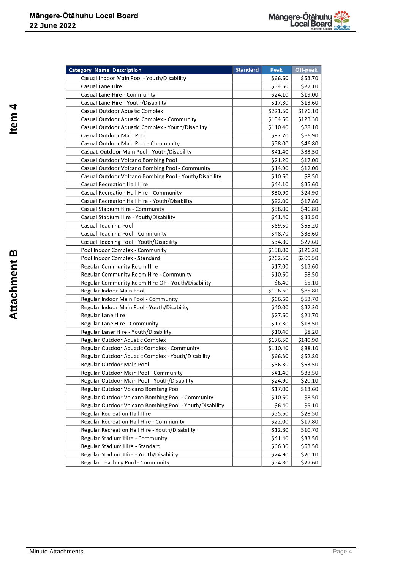

| Category   Name   Description                           | <b>Standard</b> | Peak     | Off-peak |
|---------------------------------------------------------|-----------------|----------|----------|
| Casual Indoor Main Pool - Youth/Disability              |                 | \$66.60  | \$53.70  |
| <b>Casual Lane Hire</b>                                 |                 | \$34.50  | \$27.10  |
| Casual Lane Hire - Community                            |                 | \$24.10  | \$19.00  |
| Casual Lane Hire - Youth/Disability                     |                 | \$17.30  | \$13.60  |
| Casual Outdoor Aquatic Complex                          |                 | \$221.50 | \$176.10 |
| Casual Outdoor Aquatic Complex - Community              |                 | \$154.50 | \$123.30 |
| Casual Outdoor Aquatic Complex - Youth/Disability       |                 | \$110.40 | \$88.10  |
| Casual Outdoor Main Pool                                |                 | \$82.70  | \$66.90  |
| Casual Outdoor Main Pool - Community                    |                 | \$58.00  | \$46.80  |
| CasuaL Outdoor Main Pool - Youth/Disability             |                 | \$41.40  | \$33.50  |
| Casual Outdoor Volcano Bombing Pool                     |                 | \$21.20  | \$17.00  |
| Casual Outdoor Volcano Bombing Pool - Community         |                 | \$14.90  | \$12.00  |
| Casual Outdoor Volcano Bombing Pool - Youth/Disability  |                 | \$10.60  | \$8.50   |
| <b>Casual Recreation Hall Hire</b>                      |                 | \$44.10  | \$35.60  |
| Casual Recreation Hall Hire - Community                 |                 | \$30.90  | \$24.90  |
| Casual Recreation Hall Hire - Youth/Disability          |                 | \$22.00  | \$17.80  |
| Casual Stadium Hire - Community                         |                 | \$58.00  | \$46.80  |
| Casual Stadium Hire - Youth/Disability                  |                 | \$41.40  | \$33.50  |
| Casual Teaching Pool                                    |                 | \$69.50  | \$55.20  |
| Casual Teaching Pool - Community                        |                 | \$48.70  | \$38.60  |
| Casual Teaching Pool - Youth/Disability                 |                 | \$34.80  | \$27.60  |
| Pool Indoor Complex - Community                         |                 | \$158.00 | \$126.20 |
| Pool Indoor Complex - Standard                          |                 | \$262.50 | \$209.50 |
| <b>Regular Community Room Hire</b>                      |                 | \$17.00  | \$13.60  |
| Regular Community Room Hire - Community                 |                 | \$10.60  | \$8.50   |
| Regular Community Room Hire OP - Youth/Disability       |                 | \$6.40   | \$5.10   |
| Regular Indoor Main Pool                                |                 | \$106.60 | \$85.80  |
| Regular Indoor Main Pool - Community                    |                 | \$66.60  | \$53.70  |
| Regular Indoor Main Pool - Youth/Disability             |                 | \$40.00  | \$32.20  |
| Regular Lane Hire                                       |                 | \$27.60  | \$21.70  |
| Regular Lane Hire - Community                           |                 | \$17.30  | \$13.50  |
| Regular Laner Hire - Youth/Disability                   |                 | \$10.40  | \$8.20   |
| Regular Outdoor Aquatic Complex                         |                 | \$176.50 | \$140.90 |
| Regular Outdoor Aquatic Complex - Community             |                 | \$110.40 | \$88.10  |
| Regular Outdoor Aquatic Complex - Youth/Disability      |                 | \$66.30  | \$52.80  |
| Regular Outdoor Main Pool                               |                 | \$66.30  | \$53.50  |
| Regular Outdoor Main Pool - Community                   |                 | \$41.40  | \$33.50  |
| Regular Outdoor Main Pool - Youth/Disability            |                 | \$24.90  | \$20.10  |
| Regular Outdoor Volcano Bombing Pool                    |                 | \$17.00  | \$13.60  |
| Regular Outdoor Volcano Bombing Pool - Community        |                 | \$10.60  | \$8.50   |
| Regular Outdoor Volcano Bombing Pool - Youth/Disability |                 | \$6.40   | \$5.10   |
| Regular Recreation Hall Hire                            |                 | \$35.60  | \$28.50  |
| Regular Recreation Hall Hire - Community                |                 | \$22.00  | \$17.80  |
| Regular Recreation Hall Hire - Youth/Disability         |                 | \$12.80  | \$10.70  |
| Regular Stadium Hire - Community                        |                 | \$41.40  | \$33.50  |
| Regular Stadium Hire - Standard                         |                 | \$66.30  | \$53.50  |
| Regular Stadium Hire - Youth/Disability                 |                 | \$24.90  | \$20.10  |
| Regular Teaching Pool - Community                       |                 | \$34.80  | \$27.60  |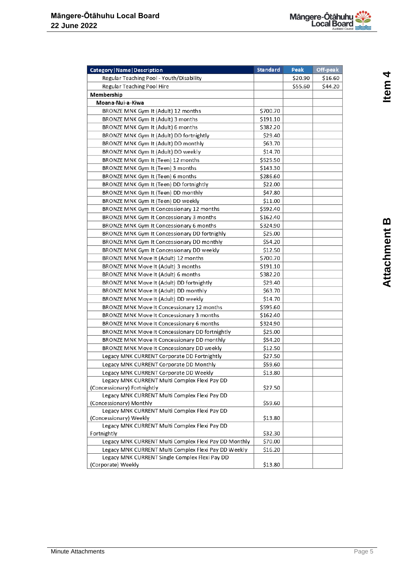

| <b>Category   Name   Description</b>                  | <b>Standard</b> | Peak    | Off-peak |
|-------------------------------------------------------|-----------------|---------|----------|
| Regular Teaching Pool - Youth/Disability              |                 | \$20.90 | \$16.60  |
| <b>Regular Teaching Pool Hire</b>                     |                 | \$55.60 | \$44.20  |
| Membership                                            |                 |         |          |
| Moana-Nui-a-Kiwa                                      |                 |         |          |
| BRONZE MNK Gym It (Adult) 12 months                   | \$700.70        |         |          |
| BRONZE MNK Gym It (Adult) 3 months                    | \$191.10        |         |          |
| BRONZE MNK Gym It (Adult) 6 months                    | \$382.20        |         |          |
| BRONZE MNK Gym It (Adult) DD fortnightly              | \$29.40         |         |          |
| BRONZE MNK Gym It (Adult) DD monthly                  | \$63.70         |         |          |
| BRONZE MNK Gym It (Adult) DD weekly                   | \$14.70         |         |          |
| BRONZE MNK Gym It (Teen) 12 months                    | \$525.50        |         |          |
| BRONZE MNK Gym It (Teen) 3 months                     | \$143.30        |         |          |
| BRONZE MNK Gym It (Teen) 6 months                     | \$286.60        |         |          |
| BRONZE MNK Gym It (Teen) DD fortnightly               | \$22.00         |         |          |
| BRONZE MNK Gym It (Teen) DD monthly                   | \$47.80         |         |          |
| BRONZE MNK Gym It (Teen) DD weekly                    | \$11.00         |         |          |
| BRONZE MNK Gym It Concessionary 12 months             | \$592.40        |         |          |
| BRONZE MNK Gym It Concessionary 3 months              | \$162.40        |         |          |
| BRONZE MNK Gym It Concessionary 6 months              | \$324.90        |         |          |
| BRONZE MNK Gym It Concessionary DD fortnighly         | \$25.00         |         |          |
| BRONZE MNK Gym It Concessionary DD monthly            | \$54.20         |         |          |
| BRONZE MNK Gym It Concessionary DD weekly             | \$12.50         |         |          |
| BRONZE MNK Move It (Adult) 12 months                  | \$700.70        |         |          |
| BRONZE MNK Move It (Adult) 3 months                   | \$191.10        |         |          |
| BRONZE MNK Move It (Adult) 6 months                   | \$382.20        |         |          |
| BRONZE MNK Move It (Adult) DD fortnightly             | \$29.40         |         |          |
| BRONZE MNK Move It (Adult) DD monthly                 | \$63.70         |         |          |
| BRONZE MNK Move It (Adult) DD weekly                  | \$14.70         |         |          |
| BRONZE MNK Move It Concessionary 12 months            | \$595.60        |         |          |
| <b>BRONZE MNK Move It Concessionary 3 months</b>      | \$162.40        |         |          |
| <b>BRONZE MNK Move It Concessionary 6 months</b>      | \$324.90        |         |          |
| BRONZE MNK Move It Concessionary DD fortnightly       | \$25.00         |         |          |
| <b>BRONZE MNK Move It Concessionary DD monthly</b>    | \$54.20         |         |          |
| <b>BRONZE MNK Move It Concessionary DD weekly</b>     | \$12.50         |         |          |
| Legacy MNK CURRENT Corporate DD Fortnightly           | \$27.50         |         |          |
| Legacy MNK CURRENT Corporate DD Monthly               | \$59.60         |         |          |
| Legacy MNK CURRENT Corporate DD Weekly                |                 |         |          |
| Legacy MNK CURRENT Multi Complex Flexi Pay DD         | \$13.80         |         |          |
| (Concessionary) Fortnightly                           | \$27.50         |         |          |
| Legacy MNK CURRENT Multi Complex Flexi Pay DD         |                 |         |          |
| (Concessionary) Monthly                               | \$59.60         |         |          |
| Legacy MNK CURRENT Multi Complex Flexi Pay DD         |                 |         |          |
| (Concessionary) Weekly                                | \$13.80         |         |          |
| Legacy MNK CURRENT Multi Complex Flexi Pay DD         |                 |         |          |
| Fortnightly                                           | \$32.30         |         |          |
| Legacy MNK CURRENT Multi Complex Flexi Pay DD Monthly | \$70.00         |         |          |
| Legacy MNK CURRENT Multi Complex Flexi Pay DD Weekly  | \$16.20         |         |          |
| Legacy MNK CURRENT Single Complex Flexi Pay DD        |                 |         |          |
| (Corporate) Weekly                                    | \$13.80         |         |          |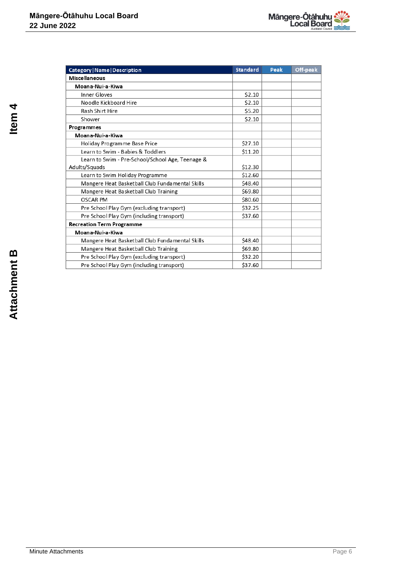| Category   Name   Description                    | <b>Standard</b> | Peak | Off-peak |
|--------------------------------------------------|-----------------|------|----------|
| <b>Miscellaneous</b>                             |                 |      |          |
| Moana-Nui-a-Kiwa                                 |                 |      |          |
| Inner Gloves                                     | \$2.10          |      |          |
| Noodle Kickboard Hire                            | \$2.10          |      |          |
| <b>Rash Shirt Hire</b>                           | \$5.20          |      |          |
| Shower                                           | \$2.10          |      |          |
| Programmes                                       |                 |      |          |
| Moana-Nui-a-Kiwa                                 |                 |      |          |
| <b>Holiday Programme Base Price</b>              | \$27.10         |      |          |
| Learn to Swim - Babies & Toddlers                | \$11.20         |      |          |
| Learn to Swim - Pre-School/School Age, Teenage & |                 |      |          |
| Adults/Squads                                    | \$12.30         |      |          |
| Learn to Swim Holiday Programme                  | \$12.60         |      |          |
| Mangere Heat Basketball Club Fundamental Skills  | \$48.40         |      |          |
| Mangere Heat Basketball Club Training            | \$69.80         |      |          |
| <b>OSCAR PM</b>                                  | \$80.60         |      |          |
| Pre School Play Gym (excluding transport)        | \$32.25         |      |          |
| Pre School Play Gym (including transport)        | \$37.60         |      |          |
| <b>Recreation Term Programme</b>                 |                 |      |          |
| Moana-Nui-a-Kiwa                                 |                 |      |          |
| Mangere Heat Basketball Club Fundamental Skills  | \$48.40         |      |          |
| Mangere Heat Basketball Club Training            | \$69.80         |      |          |
| Pre School Play Gym (excluding transport)        | \$32.20         |      |          |
| Pre School Play Gym (including transport)        | \$37.60         |      |          |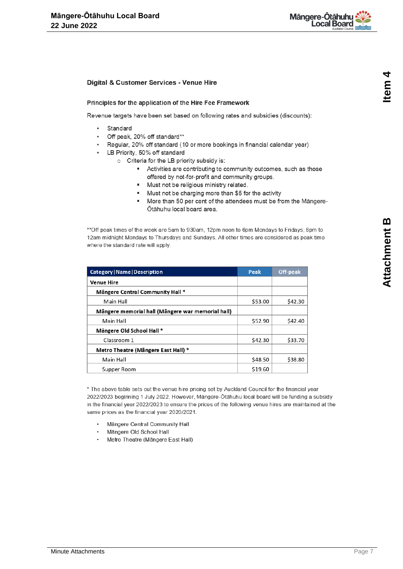

#### Digital & Customer Services - Venue Hire

#### Principles for the application of the Hire Fee Framework

Revenue targets have been set based on following rates and subsidies (discounts):

- $\ddot{\phantom{0}}$ Standard
- Off peak, 20% off standard\*\*
- Regular, 20% off standard (10 or more bookings in financial calendar year)
- LB Priority, 50% off standard
	- o Criteria for the LB priority subsidy is:
		- Activities are contributing to community outcomes, such as those offered by not-for-profit and community groups.
		- · Must not be religious ministry related.
		- Must not be charging more than \$5 for the activity ٠.
		- $\blacksquare$ More than 50 per cent of the attendees must be from the Mängere-Ōtāhuhu local board area.

\*\* Off peak times of the week are 5am to 930am, 12pm noon to 6pm Mondays to Fridays; 8pm to 12am midnight Mondays to Thursdays and Sundays. All other times are considered as peak time where the standard rate will apply.

| <b>Category   Name   Description</b>              | Peak    | Off-peak |
|---------------------------------------------------|---------|----------|
| <b>Venue Hire</b>                                 |         |          |
| Mängere Central Community Hall *                  |         |          |
| Main Hall                                         | \$53.00 | \$42.30  |
| Mängere memorial hall (Mängere war memorial hall) |         |          |
| Main Hall                                         | \$52.90 | \$42.40  |
| Mängere Old School Hall *                         |         |          |
| Classroom 1                                       | \$42.30 | \$33.70  |
| Metro Theatre (Mängere East Hall) *               |         |          |
| Main Hall                                         | \$48.50 | \$38.80  |
| Supper Room                                       | \$19.60 |          |

\* The above table sets out the venue hire pricing set by Auckland Council for the financial year 2022/2023 beginning 1 July 2022. However, Mängere-Ötähuhu local board will be funding a subsidy in the financial year 2022/2023 to ensure the prices of the following venue hires are maintained at the same prices as the financial year 2020/2021.

- Mängere Central Community Hall
- Mängere Old School Hall
- Metro Theatre (Māngere East Hall)